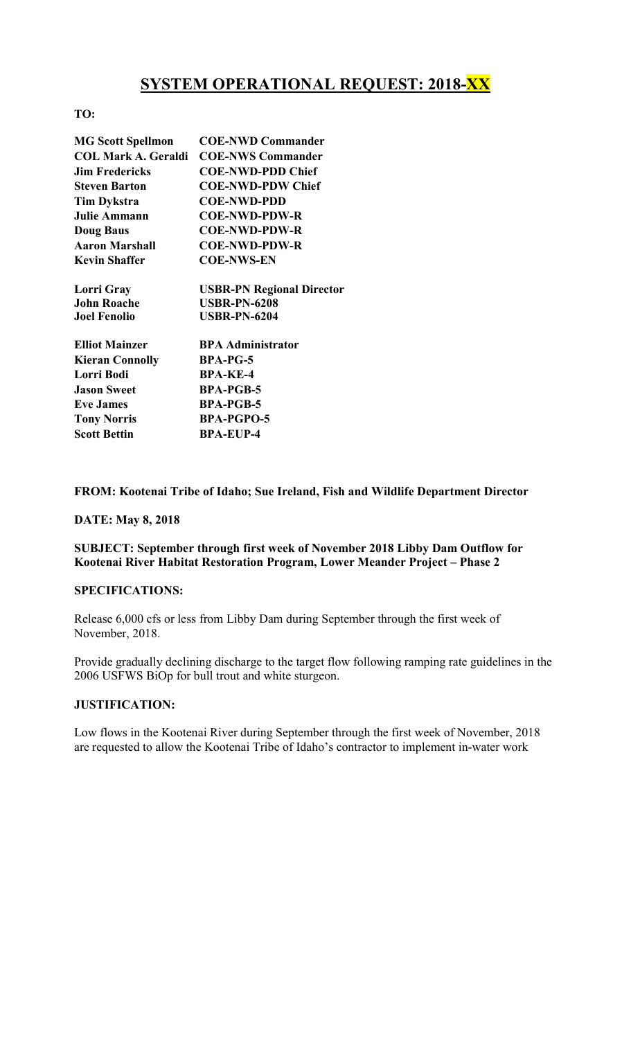# **SYSTEM OPERATIONAL REQUEST: 2018-XX**

# TO:

| <b>MG Scott Spellmon</b>   | <b>COE-NWD Commander</b>         |
|----------------------------|----------------------------------|
| <b>COL Mark A. Geraldi</b> | <b>COE-NWS Commander</b>         |
| <b>Jim Fredericks</b>      | <b>COE-NWD-PDD Chief</b>         |
| <b>Steven Barton</b>       | <b>COE-NWD-PDW Chief</b>         |
| <b>Tim Dykstra</b>         | <b>COE-NWD-PDD</b>               |
| <b>Julie Ammann</b>        | <b>COE-NWD-PDW-R</b>             |
| <b>Doug Baus</b>           | <b>COE-NWD-PDW-R</b>             |
| <b>Aaron Marshall</b>      | <b>COE-NWD-PDW-R</b>             |
| <b>Kevin Shaffer</b>       | <b>COE-NWS-EN</b>                |
| Lorri Gray                 | <b>USBR-PN Regional Director</b> |
| <b>John Roache</b>         | <b>USBR-PN-6208</b>              |
| <b>Joel Fenolio</b>        | <b>USBR-PN-6204</b>              |
| <b>Elliot Mainzer</b>      | <b>BPA Administrator</b>         |
| <b>Kieran Connolly</b>     | <b>BPA-PG-5</b>                  |
| Lorri Bodi                 | <b>BPA-KE-4</b>                  |
| <b>Jason Sweet</b>         | <b>BPA-PGB-5</b>                 |
| <b>Eve James</b>           | <b>BPA-PGB-5</b>                 |
| <b>Tony Norris</b>         | <b>BPA-PGPO-5</b>                |
| <b>Scott Bettin</b>        | <b>BPA-EUP-4</b>                 |

## FROM: Kootenai Tribe of Idaho; Sue Ireland, Fish and Wildlife Department Director

#### DATE: May 8, 2018

# SUBJECT: September through first week of November 2018 Libby Dam Outflow for Kootenai River Habitat Restoration Program, Lower Meander Project – Phase 2

#### SPECIFICATIONS:

Release 6,000 cfs or less from Libby Dam during September through the first week of November, 2018.

Provide gradually declining discharge to the target flow following ramping rate guidelines in the 2006 USFWS BiOp for bull trout and white sturgeon.

## JUSTIFICATION:

Low flows in the Kootenai River during September through the first week of November, 2018 are requested to allow the Kootenai Tribe of Idaho's contractor to implement in-water work